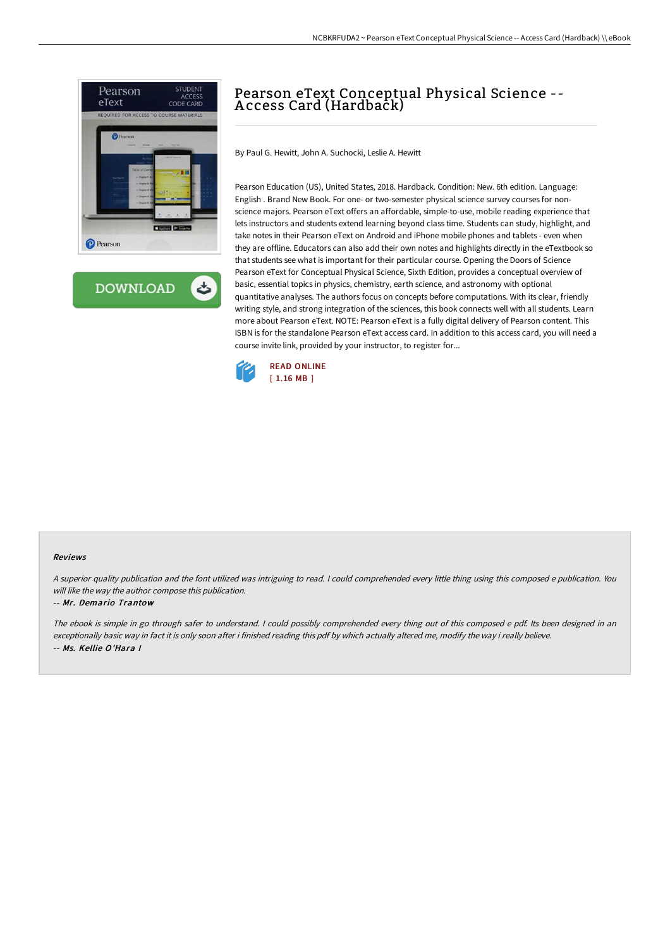

**DOWNLOAD** ٹ

# Pearson eText Conceptual Physical Science -- A ccess Card (Hardback)

By Paul G. Hewitt, John A. Suchocki, Leslie A. Hewitt

Pearson Education (US), United States, 2018. Hardback. Condition: New. 6th edition. Language: English . Brand New Book. For one- or two-semester physical science survey courses for nonscience majors. Pearson eText offers an affordable, simple-to-use, mobile reading experience that lets instructors and students extend learning beyond class time. Students can study, highlight, and take notes in their Pearson eText on Android and iPhone mobile phones and tablets - even when they are offline. Educators can also add their own notes and highlights directly in the eTextbook so that students see what is important for their particular course. Opening the Doors of Science Pearson eText for Conceptual Physical Science, Sixth Edition, provides a conceptual overview of basic, essential topics in physics, chemistry, earth science, and astronomy with optional quantitative analyses. The authors focus on concepts before computations. With its clear, friendly writing style, and strong integration of the sciences, this book connects well with all students. Learn more about Pearson eText. NOTE: Pearson eText is a fully digital delivery of Pearson content. This ISBN is for the standalone Pearson eText access card. In addition to this access card, you will need a course invite link, provided by your instructor, to register for...



#### Reviews

<sup>A</sup> superior quality publication and the font utilized was intriguing to read. <sup>I</sup> could comprehended every little thing using this composed <sup>e</sup> publication. You will like the way the author compose this publication.

#### -- Mr. Demario Trantow

The ebook is simple in go through safer to understand. <sup>I</sup> could possibly comprehended every thing out of this composed <sup>e</sup> pdf. Its been designed in an exceptionally basic way in fact it is only soon after i finished reading this pdf by which actually altered me, modify the way i really believe. -- Ms. Kellie O'Hara I